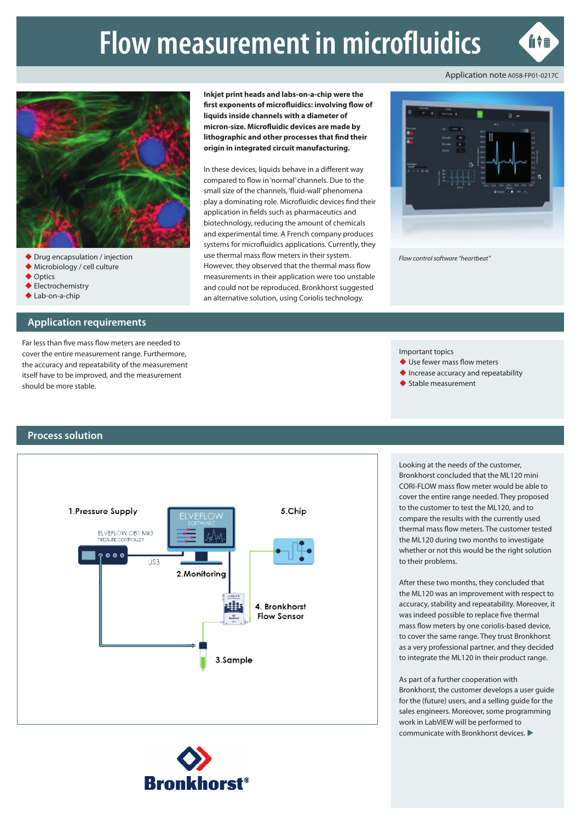# **Flow measurement in microfluidics**



Application note A058-FP01-0217C



- 
- Microbiology / cell culture
- ◆ Optics
- ◆ Electrochemistry ◆ Lab-on-a-chip
- 

### **Application requirements**

Far less than five mass flow meters are needed to cover the entire measurement range. Furthermore, the accuracy and repeatability of the measurement itself have to be improved, and the measurement should be more stable.

**Inkjet print heads and labs-on-a-chip were the first exponents of microfluidics: involving flow of liquids inside channels with a diameter of micron-size. Microfluidic devices are made by lithographic and other processes that find their origin in integrated circuit manufacturing.**

In these devices, liquids behave in a different way compared to flow in 'normal' channels. Due to the small size of the channels, 'fluid-wall' phenomena play a dominating role. Microfluidic devices find their application in fields such as pharmaceutics and biotechnology, reducing the amount of chemicals and experimental time. A French company produces systems for microfluidics applications. Currently, they use thermal mass flow meters in their system. However, they observed that the thermal mass flow measurements in their application were too unstable and could not be reproduced. Bronkhorst suggested an alternative solution, using Coriolis technology. ◆ Drug encapsulation / injection *Flow control software "heartbeat"* **Flow control software "heartbeat" Flow control software** "heartbeat"



Important topics

- ◆ Use fewer mass flow meters
- ◆ Increase accuracy and repeatability
- Stable measurement

## **Process solution**





Looking at the needs of the customer, Bronkhorst concluded that the ML120 mini CORI-FLOW mass flow meter would be able to cover the entire range needed. They proposed to the customer to test the ML120, and to compare the results with the currently used thermal mass flow meters. The customer tested the ML120 during two months to investigate whether or not this would be the right solution to their problems.

After these two months, they concluded that the ML120 was an improvement with respect to accuracy, stability and repeatability. Moreover, it was indeed possible to replace five thermal mass flow meters by one coriolis-based device, to cover the same range. They trust Bronkhorst as a very professional partner, and they decided to integrate the ML120 in their product range.

#### As part of a further cooperation with

Bronkhorst, the customer develops a user guide for the (future) users, and a selling quide for the sales engineers. Moreover, some programming work in LabVIEW will be performed to communicate with Bronkhorst devices.  $\blacktriangleright$